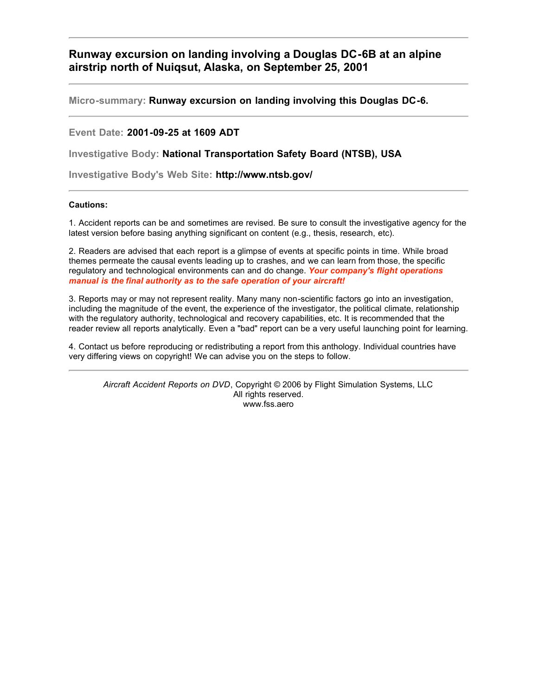**Runway excursion on landing involving a Douglas DC-6B at an alpine airstrip north of Nuiqsut, Alaska, on September 25, 2001**

**Micro-summary: Runway excursion on landing involving this Douglas DC-6.**

**Event Date: 2001-09-25 at 1609 ADT**

**Investigative Body: National Transportation Safety Board (NTSB), USA**

**Investigative Body's Web Site: http://www.ntsb.gov/**

## **Cautions:**

1. Accident reports can be and sometimes are revised. Be sure to consult the investigative agency for the latest version before basing anything significant on content (e.g., thesis, research, etc).

2. Readers are advised that each report is a glimpse of events at specific points in time. While broad themes permeate the causal events leading up to crashes, and we can learn from those, the specific regulatory and technological environments can and do change. *Your company's flight operations manual is the final authority as to the safe operation of your aircraft!*

3. Reports may or may not represent reality. Many many non-scientific factors go into an investigation, including the magnitude of the event, the experience of the investigator, the political climate, relationship with the regulatory authority, technological and recovery capabilities, etc. It is recommended that the reader review all reports analytically. Even a "bad" report can be a very useful launching point for learning.

4. Contact us before reproducing or redistributing a report from this anthology. Individual countries have very differing views on copyright! We can advise you on the steps to follow.

*Aircraft Accident Reports on DVD*, Copyright © 2006 by Flight Simulation Systems, LLC All rights reserved. www.fss.aero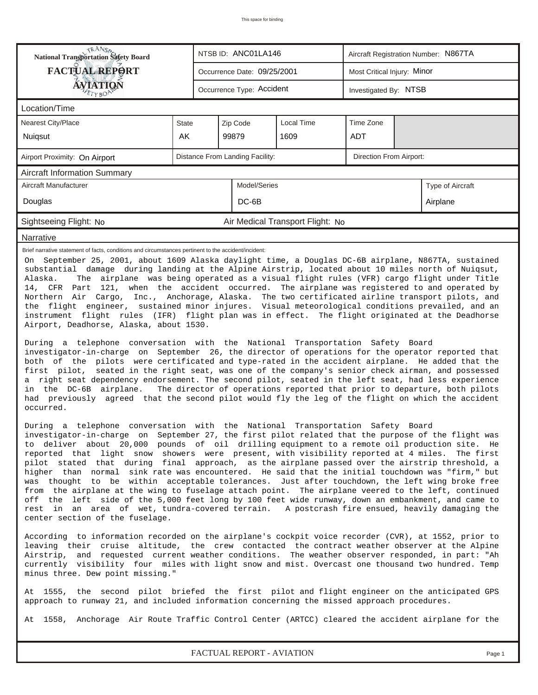| TRANSA<br>NTSB ID: ANC01LA146<br>Aircraft Registration Number: N867TA<br>National Transportation Safety Board                                                                                                                                                                                                                                                                                                                                                                                                                                                                                                                                                                                                                                                                                                                                                                                                                                                                                                                                                                                                                                                                                                                                                                                                                                                                                                                                                                                                                                                                                                                                                                                                                                                                                                                                                                                                                                                                                                                                                                                                                                                                                                                                                                                                                                                                                                                                                                                                                                              |              |                                                    |                             |  |                             |  |          |  |  |  |
|------------------------------------------------------------------------------------------------------------------------------------------------------------------------------------------------------------------------------------------------------------------------------------------------------------------------------------------------------------------------------------------------------------------------------------------------------------------------------------------------------------------------------------------------------------------------------------------------------------------------------------------------------------------------------------------------------------------------------------------------------------------------------------------------------------------------------------------------------------------------------------------------------------------------------------------------------------------------------------------------------------------------------------------------------------------------------------------------------------------------------------------------------------------------------------------------------------------------------------------------------------------------------------------------------------------------------------------------------------------------------------------------------------------------------------------------------------------------------------------------------------------------------------------------------------------------------------------------------------------------------------------------------------------------------------------------------------------------------------------------------------------------------------------------------------------------------------------------------------------------------------------------------------------------------------------------------------------------------------------------------------------------------------------------------------------------------------------------------------------------------------------------------------------------------------------------------------------------------------------------------------------------------------------------------------------------------------------------------------------------------------------------------------------------------------------------------------------------------------------------------------------------------------------------------------|--------------|----------------------------------------------------|-----------------------------|--|-----------------------------|--|----------|--|--|--|
| <b>FACTUAL REPORT</b>                                                                                                                                                                                                                                                                                                                                                                                                                                                                                                                                                                                                                                                                                                                                                                                                                                                                                                                                                                                                                                                                                                                                                                                                                                                                                                                                                                                                                                                                                                                                                                                                                                                                                                                                                                                                                                                                                                                                                                                                                                                                                                                                                                                                                                                                                                                                                                                                                                                                                                                                      |              |                                                    | Occurrence Date: 09/25/2001 |  | Most Critical Injury: Minor |  |          |  |  |  |
| <b>ÁVIATION</b><br>ETYBON                                                                                                                                                                                                                                                                                                                                                                                                                                                                                                                                                                                                                                                                                                                                                                                                                                                                                                                                                                                                                                                                                                                                                                                                                                                                                                                                                                                                                                                                                                                                                                                                                                                                                                                                                                                                                                                                                                                                                                                                                                                                                                                                                                                                                                                                                                                                                                                                                                                                                                                                  |              | Occurrence Type: Accident<br>Investigated By: NTSB |                             |  |                             |  |          |  |  |  |
| Location/Time                                                                                                                                                                                                                                                                                                                                                                                                                                                                                                                                                                                                                                                                                                                                                                                                                                                                                                                                                                                                                                                                                                                                                                                                                                                                                                                                                                                                                                                                                                                                                                                                                                                                                                                                                                                                                                                                                                                                                                                                                                                                                                                                                                                                                                                                                                                                                                                                                                                                                                                                              |              |                                                    |                             |  |                             |  |          |  |  |  |
| Nearest City/Place                                                                                                                                                                                                                                                                                                                                                                                                                                                                                                                                                                                                                                                                                                                                                                                                                                                                                                                                                                                                                                                                                                                                                                                                                                                                                                                                                                                                                                                                                                                                                                                                                                                                                                                                                                                                                                                                                                                                                                                                                                                                                                                                                                                                                                                                                                                                                                                                                                                                                                                                         | <b>State</b> | Zip Code                                           |                             |  |                             |  |          |  |  |  |
| Nuigsut                                                                                                                                                                                                                                                                                                                                                                                                                                                                                                                                                                                                                                                                                                                                                                                                                                                                                                                                                                                                                                                                                                                                                                                                                                                                                                                                                                                                                                                                                                                                                                                                                                                                                                                                                                                                                                                                                                                                                                                                                                                                                                                                                                                                                                                                                                                                                                                                                                                                                                                                                    | AK           | 99879<br>1609<br><b>ADT</b>                        |                             |  |                             |  |          |  |  |  |
| Distance From Landing Facility:<br>Direction From Airport:<br>Airport Proximity: On Airport                                                                                                                                                                                                                                                                                                                                                                                                                                                                                                                                                                                                                                                                                                                                                                                                                                                                                                                                                                                                                                                                                                                                                                                                                                                                                                                                                                                                                                                                                                                                                                                                                                                                                                                                                                                                                                                                                                                                                                                                                                                                                                                                                                                                                                                                                                                                                                                                                                                                |              |                                                    |                             |  |                             |  |          |  |  |  |
| <b>Aircraft Information Summary</b>                                                                                                                                                                                                                                                                                                                                                                                                                                                                                                                                                                                                                                                                                                                                                                                                                                                                                                                                                                                                                                                                                                                                                                                                                                                                                                                                                                                                                                                                                                                                                                                                                                                                                                                                                                                                                                                                                                                                                                                                                                                                                                                                                                                                                                                                                                                                                                                                                                                                                                                        |              |                                                    |                             |  |                             |  |          |  |  |  |
| Model/Series<br>Aircraft Manufacturer<br>Type of Aircraft                                                                                                                                                                                                                                                                                                                                                                                                                                                                                                                                                                                                                                                                                                                                                                                                                                                                                                                                                                                                                                                                                                                                                                                                                                                                                                                                                                                                                                                                                                                                                                                                                                                                                                                                                                                                                                                                                                                                                                                                                                                                                                                                                                                                                                                                                                                                                                                                                                                                                                  |              |                                                    |                             |  |                             |  |          |  |  |  |
| Douglas                                                                                                                                                                                                                                                                                                                                                                                                                                                                                                                                                                                                                                                                                                                                                                                                                                                                                                                                                                                                                                                                                                                                                                                                                                                                                                                                                                                                                                                                                                                                                                                                                                                                                                                                                                                                                                                                                                                                                                                                                                                                                                                                                                                                                                                                                                                                                                                                                                                                                                                                                    |              |                                                    | $DC-6B$                     |  |                             |  | Airplane |  |  |  |
| Sightseeing Flight: No<br>Air Medical Transport Flight: No                                                                                                                                                                                                                                                                                                                                                                                                                                                                                                                                                                                                                                                                                                                                                                                                                                                                                                                                                                                                                                                                                                                                                                                                                                                                                                                                                                                                                                                                                                                                                                                                                                                                                                                                                                                                                                                                                                                                                                                                                                                                                                                                                                                                                                                                                                                                                                                                                                                                                                 |              |                                                    |                             |  |                             |  |          |  |  |  |
| Narrative                                                                                                                                                                                                                                                                                                                                                                                                                                                                                                                                                                                                                                                                                                                                                                                                                                                                                                                                                                                                                                                                                                                                                                                                                                                                                                                                                                                                                                                                                                                                                                                                                                                                                                                                                                                                                                                                                                                                                                                                                                                                                                                                                                                                                                                                                                                                                                                                                                                                                                                                                  |              |                                                    |                             |  |                             |  |          |  |  |  |
| substantial damage during landing at the Alpine Airstrip, located about 10 miles north of Nuiqsut,<br>The airplane was being operated as a visual flight rules (VFR) cargo flight under Title<br>Alaska.<br>14, CFR Part 121, when the accident occurred. The airplane was registered to and operated by<br>Northern Air Cargo, Inc., Anchorage, Alaska. The two certificated airline transport pilots, and<br>the flight engineer, sustained minor injures. Visual meteorological conditions prevailed, and an<br>instrument flight rules (IFR) flight plan was in effect. The flight originated at the Deadhorse<br>Airport, Deadhorse, Alaska, about 1530.<br>During a telephone conversation with the National Transportation Safety Board<br>investigator-in-charge on September 26, the director of operations for the operator reported that<br>both of the pilots were certificated and type-rated in the accident airplane. He added that the<br>seated in the right seat, was one of the company's senior check airman, and possessed<br>first pilot,<br>a right seat dependency endorsement. The second pilot, seated in the left seat, had less experience<br>The director of operations reported that prior to departure, both pilots<br>in the DC-6B airplane.<br>had previously agreed that the second pilot would fly the leg of the flight on which the accident<br>occurred.<br>During a telephone conversation with the National Transportation Safety Board<br>investigator-in-charge on September 27, the first pilot related that the purpose of the flight was<br>to deliver about 20,000 pounds of oil drilling equipment to a remote oil production site. He<br>reported that light snow showers were present, with visibility reported at 4 miles.<br>The first<br>pilot stated that during final approach, as the airplane passed over the airstrip threshold, a<br>higher than normal sink rate was encountered. He said that the initial touchdown was "firm," but<br>was thought to be within acceptable tolerances. Just after touchdown, the left wing broke free<br>from the airplane at the wing to fuselage attach point. The airplane veered to the left, continued<br>off the left side of the 5,000 feet long by 100 feet wide runway, down an embankment, and came to<br>rest in an area of wet, tundra-covered terrain.<br>A postcrash fire ensued, heavily damaging the<br>center section of the fuselage.<br>According to information recorded on the airplane's cockpit voice recorder (CVR), at 1552, prior to |              |                                                    |                             |  |                             |  |          |  |  |  |
| leaving their cruise altitude, the crew contacted the contract weather observer at the Alpine<br>Airstrip, and requested current weather conditions. The weather observer responded, in part: "Ah<br>currently visibility four miles with light snow and mist. Overcast one thousand two hundred. Temp<br>minus three. Dew point missing."                                                                                                                                                                                                                                                                                                                                                                                                                                                                                                                                                                                                                                                                                                                                                                                                                                                                                                                                                                                                                                                                                                                                                                                                                                                                                                                                                                                                                                                                                                                                                                                                                                                                                                                                                                                                                                                                                                                                                                                                                                                                                                                                                                                                                 |              |                                                    |                             |  |                             |  |          |  |  |  |
| At 1555, the second pilot briefed the first pilot and flight engineer on the anticipated GPS<br>approach to runway 21, and included information concerning the missed approach procedures.                                                                                                                                                                                                                                                                                                                                                                                                                                                                                                                                                                                                                                                                                                                                                                                                                                                                                                                                                                                                                                                                                                                                                                                                                                                                                                                                                                                                                                                                                                                                                                                                                                                                                                                                                                                                                                                                                                                                                                                                                                                                                                                                                                                                                                                                                                                                                                 |              |                                                    |                             |  |                             |  |          |  |  |  |
| At 1558, Anchorage Air Route Traffic Control Center (ARTCC) cleared the accident airplane for the                                                                                                                                                                                                                                                                                                                                                                                                                                                                                                                                                                                                                                                                                                                                                                                                                                                                                                                                                                                                                                                                                                                                                                                                                                                                                                                                                                                                                                                                                                                                                                                                                                                                                                                                                                                                                                                                                                                                                                                                                                                                                                                                                                                                                                                                                                                                                                                                                                                          |              |                                                    |                             |  |                             |  |          |  |  |  |

*FACTUAL REPORT - AVIATION Page 1*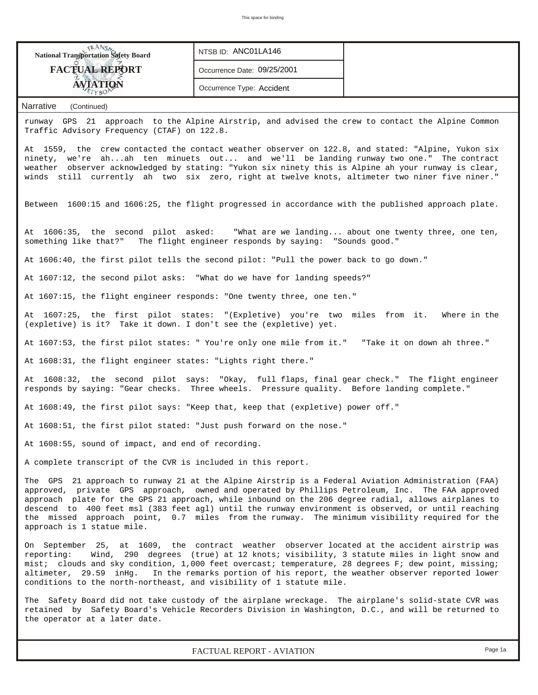| <b>FACTUAL REPORT</b><br>Occurrence Date: 09/25/2001<br><b>AVALATION</b><br>Occurrence Type: Accident | <b>National Transportation Safety Board</b> | NTSB ID: ANC01LA146 |  |
|-------------------------------------------------------------------------------------------------------|---------------------------------------------|---------------------|--|
|                                                                                                       |                                             |                     |  |
|                                                                                                       |                                             |                     |  |

## *Narrative (Continued)*

runway GPS 21 approach to the Alpine Airstrip, and advised the crew to contact the Alpine Common Traffic Advisory Frequency (CTAF) on 122.8.

At 1559, the crew contacted the contact weather observer on 122.8, and stated: "Alpine, Yukon six ninety, we're ah...ah ten minuets out... and we'll be landing runway two one." The contract weather observer acknowledged by stating: "Yukon six ninety this is Alpine ah your runway is clear, winds still currently ah two six zero, right at twelve knots, altimeter two niner five niner."

Between 1600:15 and 1606:25, the flight progressed in accordance with the published approach plate.

At 1606:35, the second pilot asked: "What are we landing... about one twenty three, one ten, something like that?" The flight engineer responds by saying: "Sounds good."

At 1606:40, the first pilot tells the second pilot: "Pull the power back to go down."

At 1607:12, the second pilot asks: "What do we have for landing speeds?"

At 1607:15, the flight engineer responds: "One twenty three, one ten."

At 1607:25, the first pilot states: "(Expletive) you're two miles from it. Where in the (expletive) is it? Take it down. I don't see the (expletive) yet.

At 1607:53, the first pilot states: " You're only one mile from it." "Take it on down ah three."

At 1608:31, the flight engineer states: "Lights right there."

At 1608:32, the second pilot says: "Okay, full flaps, final gear check." The flight engineer responds by saying: "Gear checks. Three wheels. Pressure quality. Before landing complete."

At 1608:49, the first pilot says: "Keep that, keep that (expletive) power off."

At 1608:51, the first pilot stated: "Just push forward on the nose."

At 1608:55, sound of impact, and end of recording.

A complete transcript of the CVR is included in this report.

The GPS 21 approach to runway 21 at the Alpine Airstrip is a Federal Aviation Administration (FAA) approved, private GPS approach, owned and operated by Phillips Petroleum, Inc. The FAA approved approach plate for the GPS 21 approach, while inbound on the 206 degree radial, allows airplanes to descend to 400 feet msl (383 feet agl) until the runway environment is observed, or until reaching the missed approach point, 0.7 miles from the runway. The minimum visibility required for the approach is 1 statue mile.

On September 25, at 1609, the contract weather observer located at the accident airstrip was reporting: Wind, 290 degrees (true) at 12 knots; visibility, 3 statute miles in light snow and mist; clouds and sky condition, 1,000 feet overcast; temperature, 28 degrees F; dew point, missing; altimeter, 29.59 inHg. In the remarks portion of his report, the weather observer reported lower conditions to the north-northeast, and visibility of 1 statute mile.

The Safety Board did not take custody of the airplane wreckage. The airplane's solid-state CVR was retained by Safety Board's Vehicle Recorders Division in Washington, D.C., and will be returned to the operator at a later date.

*FACTUAL REPORT - AVIATION Page 1a*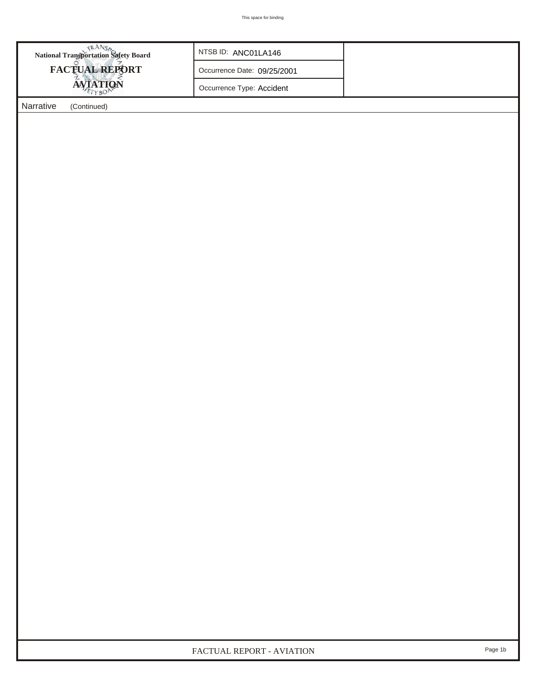| <b>National Transportation Safety Board</b> | NTSB ID: ANC01LA146         |  |
|---------------------------------------------|-----------------------------|--|
| <b>FACTUAL REPORT</b>                       | Occurrence Date: 09/25/2001 |  |
|                                             | Occurrence Type: Accident   |  |
| Narrative<br>(Continued)                    |                             |  |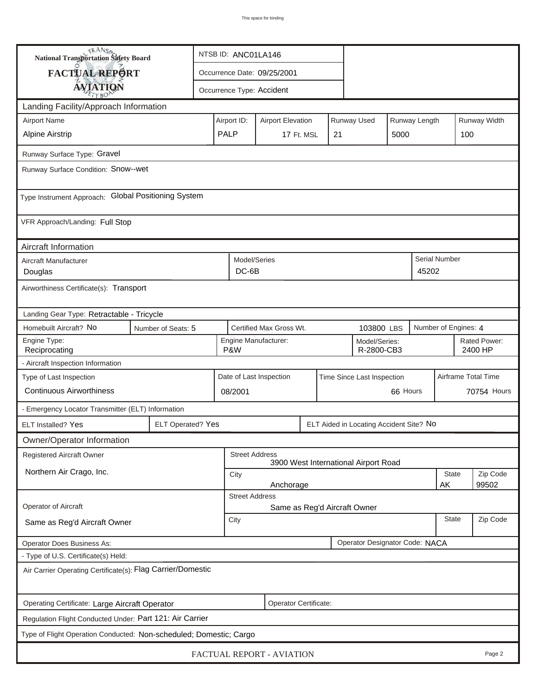| TRANSA<br>NTSB ID: ANC01LA146<br>National Transportation Safety Board                                   |                                                                         |  |                           |                                                   |                                                            |  |    |            |              |                               |                         |  |  |
|---------------------------------------------------------------------------------------------------------|-------------------------------------------------------------------------|--|---------------------------|---------------------------------------------------|------------------------------------------------------------|--|----|------------|--------------|-------------------------------|-------------------------|--|--|
| FACTUAL REPORT                                                                                          | Occurrence Date: 09/25/2001                                             |  |                           |                                                   |                                                            |  |    |            |              |                               |                         |  |  |
| <b>AVIATION</b>                                                                                         |                                                                         |  | Occurrence Type: Accident |                                                   |                                                            |  |    |            |              |                               |                         |  |  |
| Landing Facility/Approach Information                                                                   |                                                                         |  |                           |                                                   |                                                            |  |    |            |              |                               |                         |  |  |
| <b>Airport Name</b>                                                                                     | Runway Used<br>Runway Length<br>Airport ID:<br><b>Airport Elevation</b> |  |                           |                                                   |                                                            |  |    |            | Runway Width |                               |                         |  |  |
| <b>Alpine Airstrip</b>                                                                                  |                                                                         |  | <b>PALP</b>               |                                                   | 17 Ft. MSL                                                 |  | 21 |            | 5000         |                               | 100                     |  |  |
| Runway Surface Type: Gravel                                                                             |                                                                         |  |                           |                                                   |                                                            |  |    |            |              |                               |                         |  |  |
| Runway Surface Condition: Snow--wet                                                                     |                                                                         |  |                           |                                                   |                                                            |  |    |            |              |                               |                         |  |  |
| Type Instrument Approach: Global Positioning System                                                     |                                                                         |  |                           |                                                   |                                                            |  |    |            |              |                               |                         |  |  |
| VFR Approach/Landing: Full Stop                                                                         |                                                                         |  |                           |                                                   |                                                            |  |    |            |              |                               |                         |  |  |
| Aircraft Information                                                                                    |                                                                         |  |                           |                                                   |                                                            |  |    |            |              |                               |                         |  |  |
| Aircraft Manufacturer<br>Douglas                                                                        |                                                                         |  |                           | Model/Series<br>$DC-6B$                           |                                                            |  |    |            |              | <b>Serial Number</b><br>45202 |                         |  |  |
| Airworthiness Certificate(s): Transport                                                                 |                                                                         |  |                           |                                                   |                                                            |  |    |            |              |                               |                         |  |  |
| Landing Gear Type: Retractable - Tricycle                                                               |                                                                         |  |                           |                                                   |                                                            |  |    |            |              |                               |                         |  |  |
| Homebuilt Aircraft? No<br>Number of Seats: 5                                                            |                                                                         |  |                           |                                                   | Certified Max Gross Wt.                                    |  |    | 103800 LBS |              |                               | Number of Engines: 4    |  |  |
| Engine Type:<br>Reciprocating                                                                           |                                                                         |  |                           |                                                   | Engine Manufacturer:<br>Model/Series:<br>P&W<br>R-2800-CB3 |  |    |            |              |                               | Rated Power:<br>2400 HP |  |  |
| - Aircraft Inspection Information                                                                       |                                                                         |  |                           |                                                   |                                                            |  |    |            |              |                               |                         |  |  |
| Airframe Total Time<br>Type of Last Inspection<br>Date of Last Inspection<br>Time Since Last Inspection |                                                                         |  |                           |                                                   |                                                            |  |    |            |              |                               |                         |  |  |
| <b>Continuous Airworthiness</b><br>66 Hours<br>70754 Hours<br>08/2001                                   |                                                                         |  |                           |                                                   |                                                            |  |    |            |              |                               |                         |  |  |
| - Emergency Locator Transmitter (ELT) Information                                                       |                                                                         |  |                           |                                                   |                                                            |  |    |            |              |                               |                         |  |  |
| ELT Operated? Yes<br>ELT Aided in Locating Accident Site? No<br>ELT Installed? Yes                      |                                                                         |  |                           |                                                   |                                                            |  |    |            |              |                               |                         |  |  |
| Owner/Operator Information                                                                              |                                                                         |  |                           |                                                   |                                                            |  |    |            |              |                               |                         |  |  |
| Registered Aircraft Owner<br><b>Street Address</b><br>3900 West International Airport Road              |                                                                         |  |                           |                                                   |                                                            |  |    |            |              |                               |                         |  |  |
| Northern Air Crago, Inc.                                                                                |                                                                         |  |                           | State<br>City                                     |                                                            |  |    |            |              |                               | Zip Code                |  |  |
|                                                                                                         |                                                                         |  |                           | 99502<br>AK<br>Anchorage<br><b>Street Address</b> |                                                            |  |    |            |              |                               |                         |  |  |
| Operator of Aircraft                                                                                    |                                                                         |  |                           |                                                   | Same as Reg'd Aircraft Owner                               |  |    |            |              |                               |                         |  |  |
| Same as Reg'd Aircraft Owner                                                                            |                                                                         |  |                           |                                                   | <b>State</b><br>City                                       |  |    |            |              |                               | Zip Code                |  |  |
| Operator Designator Code: NACA<br>Operator Does Business As:                                            |                                                                         |  |                           |                                                   |                                                            |  |    |            |              |                               |                         |  |  |
| - Type of U.S. Certificate(s) Held:                                                                     |                                                                         |  |                           |                                                   |                                                            |  |    |            |              |                               |                         |  |  |
| Air Carrier Operating Certificate(s): Flag Carrier/Domestic                                             |                                                                         |  |                           |                                                   |                                                            |  |    |            |              |                               |                         |  |  |
| Operating Certificate: Large Aircraft Operator                                                          |                                                                         |  |                           |                                                   | Operator Certificate:                                      |  |    |            |              |                               |                         |  |  |
| Regulation Flight Conducted Under: Part 121: Air Carrier                                                |                                                                         |  |                           |                                                   |                                                            |  |    |            |              |                               |                         |  |  |
| Type of Flight Operation Conducted: Non-scheduled; Domestic; Cargo                                      |                                                                         |  |                           |                                                   |                                                            |  |    |            |              |                               |                         |  |  |
| FACTUAL REPORT - AVIATION<br>Page 2                                                                     |                                                                         |  |                           |                                                   |                                                            |  |    |            |              |                               |                         |  |  |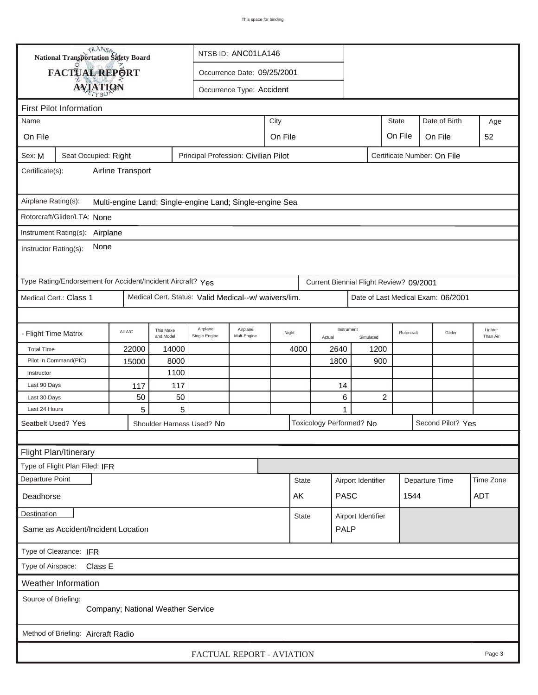| TRANSA<br>NTSB ID: ANC01LA146<br><b>National Transportation Safety Board</b>                                                                                                                                   |                 |                                   |  |  |                           |      |  |  |  |              |               |     |
|----------------------------------------------------------------------------------------------------------------------------------------------------------------------------------------------------------------|-----------------|-----------------------------------|--|--|---------------------------|------|--|--|--|--------------|---------------|-----|
| <b>FACTUAL REPORT</b><br>Occurrence Date: 09/25/2001                                                                                                                                                           |                 |                                   |  |  |                           |      |  |  |  |              |               |     |
|                                                                                                                                                                                                                | <b>AVIATION</b> |                                   |  |  | Occurrence Type: Accident |      |  |  |  |              |               |     |
|                                                                                                                                                                                                                |                 |                                   |  |  |                           |      |  |  |  |              |               |     |
| <b>First Pilot Information</b>                                                                                                                                                                                 |                 |                                   |  |  |                           |      |  |  |  |              |               |     |
| Name                                                                                                                                                                                                           |                 |                                   |  |  |                           | City |  |  |  | <b>State</b> | Date of Birth | Age |
| On File<br>On File<br>On File<br>On File                                                                                                                                                                       |                 |                                   |  |  |                           |      |  |  |  | 52           |               |     |
| Principal Profession: Civilian Pilot<br>Certificate Number: On File<br>Sex: M<br>Seat Occupied: Right                                                                                                          |                 |                                   |  |  |                           |      |  |  |  |              |               |     |
| Airline Transport<br>Certificate(s):                                                                                                                                                                           |                 |                                   |  |  |                           |      |  |  |  |              |               |     |
| Airplane Rating(s):<br>Multi-engine Land; Single-engine Land; Single-engine Sea                                                                                                                                |                 |                                   |  |  |                           |      |  |  |  |              |               |     |
| Rotorcraft/Glider/LTA: None                                                                                                                                                                                    |                 |                                   |  |  |                           |      |  |  |  |              |               |     |
| Instrument Rating(s): Airplane                                                                                                                                                                                 |                 |                                   |  |  |                           |      |  |  |  |              |               |     |
| None<br>Instructor Rating(s):                                                                                                                                                                                  |                 |                                   |  |  |                           |      |  |  |  |              |               |     |
| Type Rating/Endorsement for Accident/Incident Aircraft? Yes<br>Current Biennial Flight Review? 09/2001                                                                                                         |                 |                                   |  |  |                           |      |  |  |  |              |               |     |
| Medical Cert. Status: Valid Medical--w/ waivers/lim.<br>Medical Cert.: Class 1<br>Date of Last Medical Exam: 06/2001                                                                                           |                 |                                   |  |  |                           |      |  |  |  |              |               |     |
|                                                                                                                                                                                                                |                 |                                   |  |  |                           |      |  |  |  |              |               |     |
| Airplane<br>Airplane<br>Instrument<br>This Make<br>Lighter<br>All A/C<br>- Flight Time Matrix<br>Night<br>Glider<br>Rotorcraft<br>Mult-Engine<br>and Model<br>Single Engine<br>Than Air<br>Actual<br>Simulated |                 |                                   |  |  |                           |      |  |  |  |              |               |     |
| 22000<br>4000<br>2640<br>14000<br>1200<br><b>Total Time</b>                                                                                                                                                    |                 |                                   |  |  |                           |      |  |  |  |              |               |     |
| Pilot In Command(PIC)<br>15000<br>8000<br>1800<br>900                                                                                                                                                          |                 |                                   |  |  |                           |      |  |  |  |              |               |     |
| 1100<br>Instructor                                                                                                                                                                                             |                 |                                   |  |  |                           |      |  |  |  |              |               |     |
| Last 90 Days<br>117<br>117<br>14                                                                                                                                                                               |                 |                                   |  |  |                           |      |  |  |  |              |               |     |
| 6<br>2<br>50<br>50<br>Last 30 Days                                                                                                                                                                             |                 |                                   |  |  |                           |      |  |  |  |              |               |     |
| 5<br>5<br>Last 24 Hours<br>1                                                                                                                                                                                   |                 |                                   |  |  |                           |      |  |  |  |              |               |     |
| Seatbelt Used? Yes<br>Toxicology Performed? No<br>Second Pilot? Yes<br>Shoulder Harness Used? No                                                                                                               |                 |                                   |  |  |                           |      |  |  |  |              |               |     |
|                                                                                                                                                                                                                |                 |                                   |  |  |                           |      |  |  |  |              |               |     |
| Flight Plan/Itinerary                                                                                                                                                                                          |                 |                                   |  |  |                           |      |  |  |  |              |               |     |
| Type of Flight Plan Filed: IFR<br>Departure Point<br>Time Zone<br>State<br>Airport Identifier<br>Departure Time                                                                                                |                 |                                   |  |  |                           |      |  |  |  |              |               |     |
|                                                                                                                                                                                                                |                 |                                   |  |  |                           |      |  |  |  |              |               |     |
| <b>PASC</b><br>1544<br><b>ADT</b><br>AK<br>Deadhorse                                                                                                                                                           |                 |                                   |  |  |                           |      |  |  |  |              |               |     |
| Destination<br>Airport Identifier<br><b>State</b>                                                                                                                                                              |                 |                                   |  |  |                           |      |  |  |  |              |               |     |
| <b>PALP</b><br>Same as Accident/Incident Location                                                                                                                                                              |                 |                                   |  |  |                           |      |  |  |  |              |               |     |
| Type of Clearance: IFR                                                                                                                                                                                         |                 |                                   |  |  |                           |      |  |  |  |              |               |     |
| Type of Airspace: Class E                                                                                                                                                                                      |                 |                                   |  |  |                           |      |  |  |  |              |               |     |
| <b>Weather Information</b>                                                                                                                                                                                     |                 |                                   |  |  |                           |      |  |  |  |              |               |     |
| Source of Briefing:                                                                                                                                                                                            |                 | Company; National Weather Service |  |  |                           |      |  |  |  |              |               |     |
|                                                                                                                                                                                                                |                 |                                   |  |  |                           |      |  |  |  |              |               |     |
| Method of Briefing: Aircraft Radio<br>FACTUAL REPORT - AVIATION<br>Page 3                                                                                                                                      |                 |                                   |  |  |                           |      |  |  |  |              |               |     |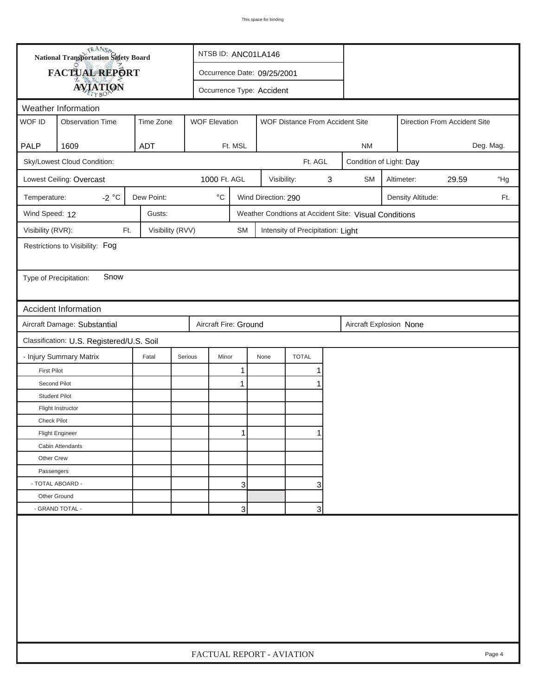| FACTUAL REPORT<br>Occurrence Date: 09/25/2001<br><b>AVIATION</b><br>Occurrence Type: Accident<br>Weather Information<br>WOF ID<br>Time Zone<br><b>Observation Time</b><br><b>WOF Elevation</b><br>WOF Distance From Accident Site<br>Direction From Accident Site<br><b>PALP</b><br>1609<br><b>ADT</b><br>Ft. MSL<br>Deg. Mag.<br><b>NM</b><br>Sky/Lowest Cloud Condition:<br>Ft. AGL<br>Condition of Light: Day<br>Lowest Ceiling: Overcast<br>1000 Ft. AGL<br>$\sqrt{3}$<br>29.59<br>Visibility:<br><b>SM</b><br>Altimeter:<br>-2 $^{\circ}$ C<br>$^\circ \text{C}$<br>Dew Point:<br>Wind Direction: 290<br>Temperature:<br>Density Altitude:<br>Weather Condtions at Accident Site: Visual Conditions<br>Wind Speed: 12<br>Gusts:<br>Visibility (RVR):<br>Ft.<br>Visibility (RVV)<br>SM<br>Intensity of Precipitation: Light<br>Restrictions to Visibility: Fog<br>Snow<br>Type of Precipitation:<br>Accident Information<br>Aircraft Damage: Substantial<br>Aircraft Fire: Ground<br>Aircraft Explosion None<br>Classification: U.S. Registered/U.S. Soil<br>- Injury Summary Matrix<br><b>TOTAL</b><br>Fatal<br>Serious<br>Minor<br>None<br><b>First Pilot</b><br>1<br>Second Pilot<br>1<br><b>Student Pilot</b><br>Flight Instructor<br>Check Pilot<br>1<br><b>Flight Engineer</b><br>Cabin Attendants<br>Other Crew<br>Passengers |  | <b>National Transportation Safety Board</b> |  |                           | NTSB ID: ANC01LA146 |  |  |  |  |  |  |        |
|------------------------------------------------------------------------------------------------------------------------------------------------------------------------------------------------------------------------------------------------------------------------------------------------------------------------------------------------------------------------------------------------------------------------------------------------------------------------------------------------------------------------------------------------------------------------------------------------------------------------------------------------------------------------------------------------------------------------------------------------------------------------------------------------------------------------------------------------------------------------------------------------------------------------------------------------------------------------------------------------------------------------------------------------------------------------------------------------------------------------------------------------------------------------------------------------------------------------------------------------------------------------------------------------------------------------------------------|--|---------------------------------------------|--|---------------------------|---------------------|--|--|--|--|--|--|--------|
|                                                                                                                                                                                                                                                                                                                                                                                                                                                                                                                                                                                                                                                                                                                                                                                                                                                                                                                                                                                                                                                                                                                                                                                                                                                                                                                                          |  |                                             |  |                           |                     |  |  |  |  |  |  |        |
|                                                                                                                                                                                                                                                                                                                                                                                                                                                                                                                                                                                                                                                                                                                                                                                                                                                                                                                                                                                                                                                                                                                                                                                                                                                                                                                                          |  |                                             |  |                           |                     |  |  |  |  |  |  |        |
|                                                                                                                                                                                                                                                                                                                                                                                                                                                                                                                                                                                                                                                                                                                                                                                                                                                                                                                                                                                                                                                                                                                                                                                                                                                                                                                                          |  |                                             |  |                           |                     |  |  |  |  |  |  |        |
|                                                                                                                                                                                                                                                                                                                                                                                                                                                                                                                                                                                                                                                                                                                                                                                                                                                                                                                                                                                                                                                                                                                                                                                                                                                                                                                                          |  |                                             |  |                           |                     |  |  |  |  |  |  |        |
|                                                                                                                                                                                                                                                                                                                                                                                                                                                                                                                                                                                                                                                                                                                                                                                                                                                                                                                                                                                                                                                                                                                                                                                                                                                                                                                                          |  |                                             |  |                           |                     |  |  |  |  |  |  |        |
|                                                                                                                                                                                                                                                                                                                                                                                                                                                                                                                                                                                                                                                                                                                                                                                                                                                                                                                                                                                                                                                                                                                                                                                                                                                                                                                                          |  |                                             |  |                           |                     |  |  |  |  |  |  |        |
|                                                                                                                                                                                                                                                                                                                                                                                                                                                                                                                                                                                                                                                                                                                                                                                                                                                                                                                                                                                                                                                                                                                                                                                                                                                                                                                                          |  |                                             |  |                           |                     |  |  |  |  |  |  |        |
|                                                                                                                                                                                                                                                                                                                                                                                                                                                                                                                                                                                                                                                                                                                                                                                                                                                                                                                                                                                                                                                                                                                                                                                                                                                                                                                                          |  |                                             |  |                           |                     |  |  |  |  |  |  | "Hg    |
|                                                                                                                                                                                                                                                                                                                                                                                                                                                                                                                                                                                                                                                                                                                                                                                                                                                                                                                                                                                                                                                                                                                                                                                                                                                                                                                                          |  |                                             |  |                           |                     |  |  |  |  |  |  | Ft.    |
|                                                                                                                                                                                                                                                                                                                                                                                                                                                                                                                                                                                                                                                                                                                                                                                                                                                                                                                                                                                                                                                                                                                                                                                                                                                                                                                                          |  |                                             |  |                           |                     |  |  |  |  |  |  |        |
|                                                                                                                                                                                                                                                                                                                                                                                                                                                                                                                                                                                                                                                                                                                                                                                                                                                                                                                                                                                                                                                                                                                                                                                                                                                                                                                                          |  |                                             |  |                           |                     |  |  |  |  |  |  |        |
|                                                                                                                                                                                                                                                                                                                                                                                                                                                                                                                                                                                                                                                                                                                                                                                                                                                                                                                                                                                                                                                                                                                                                                                                                                                                                                                                          |  |                                             |  |                           |                     |  |  |  |  |  |  |        |
|                                                                                                                                                                                                                                                                                                                                                                                                                                                                                                                                                                                                                                                                                                                                                                                                                                                                                                                                                                                                                                                                                                                                                                                                                                                                                                                                          |  |                                             |  |                           |                     |  |  |  |  |  |  |        |
|                                                                                                                                                                                                                                                                                                                                                                                                                                                                                                                                                                                                                                                                                                                                                                                                                                                                                                                                                                                                                                                                                                                                                                                                                                                                                                                                          |  |                                             |  |                           |                     |  |  |  |  |  |  |        |
|                                                                                                                                                                                                                                                                                                                                                                                                                                                                                                                                                                                                                                                                                                                                                                                                                                                                                                                                                                                                                                                                                                                                                                                                                                                                                                                                          |  |                                             |  |                           |                     |  |  |  |  |  |  |        |
|                                                                                                                                                                                                                                                                                                                                                                                                                                                                                                                                                                                                                                                                                                                                                                                                                                                                                                                                                                                                                                                                                                                                                                                                                                                                                                                                          |  |                                             |  |                           |                     |  |  |  |  |  |  |        |
|                                                                                                                                                                                                                                                                                                                                                                                                                                                                                                                                                                                                                                                                                                                                                                                                                                                                                                                                                                                                                                                                                                                                                                                                                                                                                                                                          |  |                                             |  |                           |                     |  |  |  |  |  |  |        |
|                                                                                                                                                                                                                                                                                                                                                                                                                                                                                                                                                                                                                                                                                                                                                                                                                                                                                                                                                                                                                                                                                                                                                                                                                                                                                                                                          |  |                                             |  |                           |                     |  |  |  |  |  |  |        |
|                                                                                                                                                                                                                                                                                                                                                                                                                                                                                                                                                                                                                                                                                                                                                                                                                                                                                                                                                                                                                                                                                                                                                                                                                                                                                                                                          |  |                                             |  |                           |                     |  |  |  |  |  |  |        |
|                                                                                                                                                                                                                                                                                                                                                                                                                                                                                                                                                                                                                                                                                                                                                                                                                                                                                                                                                                                                                                                                                                                                                                                                                                                                                                                                          |  |                                             |  |                           |                     |  |  |  |  |  |  |        |
|                                                                                                                                                                                                                                                                                                                                                                                                                                                                                                                                                                                                                                                                                                                                                                                                                                                                                                                                                                                                                                                                                                                                                                                                                                                                                                                                          |  |                                             |  |                           |                     |  |  |  |  |  |  |        |
|                                                                                                                                                                                                                                                                                                                                                                                                                                                                                                                                                                                                                                                                                                                                                                                                                                                                                                                                                                                                                                                                                                                                                                                                                                                                                                                                          |  |                                             |  |                           |                     |  |  |  |  |  |  |        |
|                                                                                                                                                                                                                                                                                                                                                                                                                                                                                                                                                                                                                                                                                                                                                                                                                                                                                                                                                                                                                                                                                                                                                                                                                                                                                                                                          |  |                                             |  |                           |                     |  |  |  |  |  |  |        |
|                                                                                                                                                                                                                                                                                                                                                                                                                                                                                                                                                                                                                                                                                                                                                                                                                                                                                                                                                                                                                                                                                                                                                                                                                                                                                                                                          |  |                                             |  |                           |                     |  |  |  |  |  |  |        |
|                                                                                                                                                                                                                                                                                                                                                                                                                                                                                                                                                                                                                                                                                                                                                                                                                                                                                                                                                                                                                                                                                                                                                                                                                                                                                                                                          |  |                                             |  |                           |                     |  |  |  |  |  |  |        |
|                                                                                                                                                                                                                                                                                                                                                                                                                                                                                                                                                                                                                                                                                                                                                                                                                                                                                                                                                                                                                                                                                                                                                                                                                                                                                                                                          |  |                                             |  |                           |                     |  |  |  |  |  |  |        |
|                                                                                                                                                                                                                                                                                                                                                                                                                                                                                                                                                                                                                                                                                                                                                                                                                                                                                                                                                                                                                                                                                                                                                                                                                                                                                                                                          |  |                                             |  |                           |                     |  |  |  |  |  |  |        |
|                                                                                                                                                                                                                                                                                                                                                                                                                                                                                                                                                                                                                                                                                                                                                                                                                                                                                                                                                                                                                                                                                                                                                                                                                                                                                                                                          |  |                                             |  |                           |                     |  |  |  |  |  |  |        |
| - TOTAL ABOARD -<br>3<br>3                                                                                                                                                                                                                                                                                                                                                                                                                                                                                                                                                                                                                                                                                                                                                                                                                                                                                                                                                                                                                                                                                                                                                                                                                                                                                                               |  |                                             |  |                           |                     |  |  |  |  |  |  |        |
| Other Ground                                                                                                                                                                                                                                                                                                                                                                                                                                                                                                                                                                                                                                                                                                                                                                                                                                                                                                                                                                                                                                                                                                                                                                                                                                                                                                                             |  |                                             |  |                           |                     |  |  |  |  |  |  |        |
| - GRAND TOTAL -<br>3<br>3                                                                                                                                                                                                                                                                                                                                                                                                                                                                                                                                                                                                                                                                                                                                                                                                                                                                                                                                                                                                                                                                                                                                                                                                                                                                                                                |  |                                             |  |                           |                     |  |  |  |  |  |  |        |
|                                                                                                                                                                                                                                                                                                                                                                                                                                                                                                                                                                                                                                                                                                                                                                                                                                                                                                                                                                                                                                                                                                                                                                                                                                                                                                                                          |  |                                             |  | FACTUAL REPORT - AVIATION |                     |  |  |  |  |  |  | Page 4 |